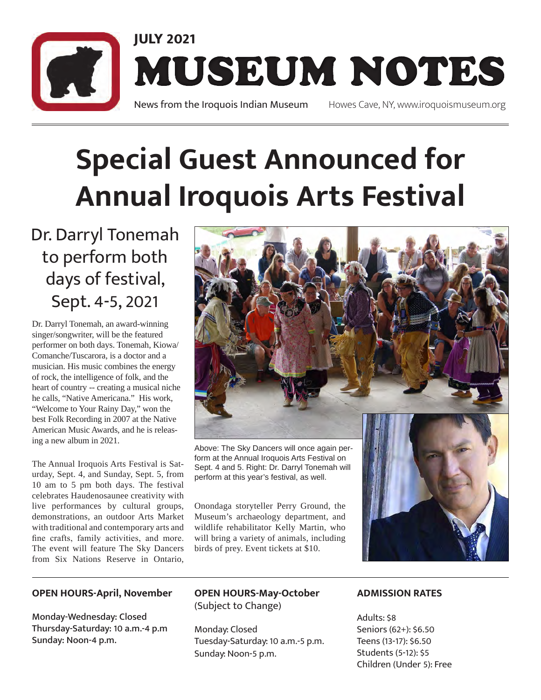

### **Special Guest Announced for Annual Iroquois Arts Festival**

Dr. Darryl Tonemah to perform both days of festival, Sept. 4-5, 2021

Dr. Darryl Tonemah, an award-winning singer/songwriter, will be the featured performer on both days. Tonemah, Kiowa/ Comanche/Tuscarora, is a doctor and a musician. His music combines the energy of rock, the intelligence of folk, and the heart of country -- creating a musical niche he calls, "Native Americana." His work, "Welcome to Your Rainy Day," won the best Folk Recording in 2007 at the Native American Music Awards, and he is releasing a new album in 2021.

The Annual Iroquois Arts Festival is Saturday, Sept. 4, and Sunday, Sept. 5, from 10 am to 5 pm both days. The festival celebrates Haudenosaunee creativity with live performances by cultural groups, demonstrations, an outdoor Arts Market with traditional and contemporary arts and fine crafts, family activities, and more. The event will feature The Sky Dancers from Six Nations Reserve in Ontario,

#### **OPEN HOURS-April, November**

Monday-Wednesday: Closed Thursday-Saturday: 10 a.m.-4 p.m Sunday: Noon-4 p.m.



Above: The Sky Dancers will once again perform at the Annual Iroquois Arts Festival on Sept. 4 and 5. Right: Dr. Darryl Tonemah will perform at this year's festival, as well.

Onondaga storyteller Perry Ground, the Museum's archaeology department, and wildlife rehabilitator Kelly Martin, who will bring a variety of animals, including birds of prey. Event tickets at \$10.

**OPEN HOURS-May-October**  (Subject to Change)

Monday: Closed Tuesday-Saturday: 10 a.m.-5 p.m. Sunday: Noon-5 p.m.

### **ADMISSION RATES**

Adults: \$8 Seniors (62+): \$6.50 Teens (13-17): \$6.50 Students (5-12): \$5 Children (Under 5): Free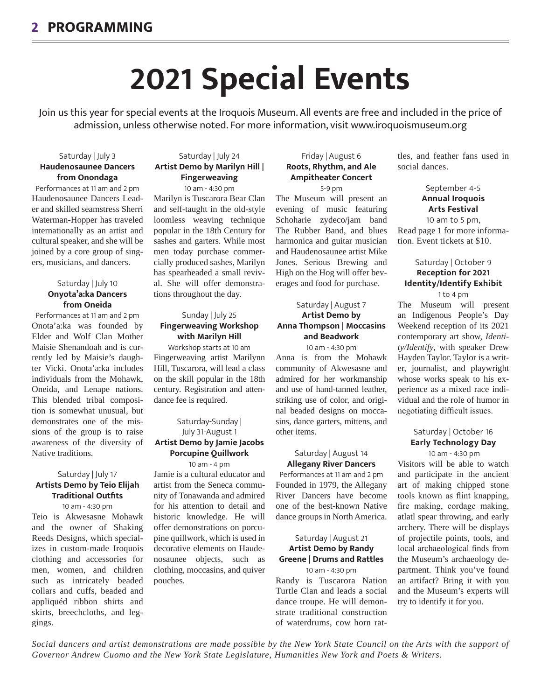## **2021 Special Events**

Join us this year for special events at the Iroquois Museum. All events are free and included in the price of admission, unless otherwise noted. For more information, visit www.iroquoismuseum.org

#### Saturday | July 3 **Haudenosaunee Dancers from Onondaga**

Performances at 11 am and 2 pm Haudenosaunee Dancers Leader and skilled seamstress Sherri Waterman-Hopper has traveled internationally as an artist and cultural speaker, and she will be joined by a core group of singers, musicians, and dancers.

#### Saturday | July 10 **Onyota'a:ka Dancers from Oneida**

Performances at 11 am and 2 pm Onota'a:ka was founded by Elder and Wolf Clan Mother Maisie Shenandoah and is currently led by Maisie's daughter Vicki. Onota'a:ka includes individuals from the Mohawk, Oneida, and Lenape nations. This blended tribal composition is somewhat unusual, but demonstrates one of the missions of the group is to raise awareness of the diversity of Native traditions.

#### Saturday | July 17 **Artists Demo by Teio Elijah Traditional Outfits**

10 am - 4:30 pm

Teio is Akwesasne Mohawk and the owner of Shaking Reeds Designs, which specializes in custom-made Iroquois clothing and accessories for men, women, and children such as intricately beaded collars and cuffs, beaded and appliquéd ribbon shirts and skirts, breechcloths, and leggings.

#### Saturday | July 24 **Artist Demo by Marilyn Hill | Fingerweaving**

10 am - 4:30 pm

Marilyn is Tuscarora Bear Clan and self-taught in the old-style loomless weaving technique popular in the 18th Century for sashes and garters. While most men today purchase commercially produced sashes, Marilyn has spearheaded a small revival. She will offer demonstrations throughout the day.

#### Sunday | July 25 **Fingerweaving Workshop with Marilyn Hill**

Workshop starts at 10 am Fingerweaving artist Marilynn Hill, Tuscarora, will lead a class on the skill popular in the 18th century. Registration and attendance fee is required.

#### Saturday-Sunday | July 31-August 1 **Artist Demo by Jamie Jacobs Porcupine Quillwork** 10 am - 4 pm

Jamie is a cultural educator and artist from the Seneca community of Tonawanda and admired for his attention to detail and historic knowledge. He will offer demonstrations on porcupine quillwork, which is used in decorative elements on Haudenosaunee objects, such as clothing, moccasins, and quiver pouches.

#### Friday | August 6 **Roots, Rhythm, and Ale Ampitheater Concert** 5-9 pm

The Museum will present an evening of music featuring Schoharie zydeco/jam band The Rubber Band, and blues harmonica and guitar musician and Haudenosaunee artist Mike Jones. Serious Brewing and High on the Hog will offer beverages and food for purchase.

#### Saturday | August 7 **Artist Demo by Anna Thompson | Moccasins and Beadwork** 10 am - 4:30 pm

Anna is from the Mohawk community of Akwesasne and admired for her workmanship and use of hand-tanned leather, striking use of color, and original beaded designs on moccasins, dance garters, mittens, and other items.

#### Saturday | August 14 **Allegany River Dancers**

Performances at 11 am and 2 pm Founded in 1979, the Allegany River Dancers have become one of the best-known Native dance groups in North America.

#### Saturday | August 21 **Artist Demo by Randy Greene | Drums and Rattles**

10 am - 4:30 pm Randy is Tuscarora Nation Turtle Clan and leads a social dance troupe. He will demonstrate traditional construction of waterdrums, cow horn rat-

tles, and feather fans used in social dances.

> September 4-5 **Annual Iroquois Arts Festival** 10 am to 5 pm,

Read page 1 for more information. Event tickets at \$10.

#### Saturday | October 9 **Reception for 2021 Identity/Identify Exhibit**

1 to 4 pm

The Museum will present an Indigenous People's Day Weekend reception of its 2021 contemporary art show, *Identity/Identify*, with speaker Drew Hayden Taylor. Taylor is a writer, journalist, and playwright whose works speak to his experience as a mixed race individual and the role of humor in negotiating difficult issues.

#### Saturday | October 16 **Early Technology Day**

 10 am - 4:30 pm Visitors will be able to watch and participate in the ancient art of making chipped stone tools known as flint knapping, fire making, cordage making, atlatl spear throwing, and early archery. There will be displays of projectile points, tools, and local archaeological finds from the Museum's archaeology department. Think you've found an artifact? Bring it with you and the Museum's experts will try to identify it for you.

*Social dancers and artist demonstrations are made possible by the New York State Council on the Arts with the support of Governor Andrew Cuomo and the New York State Legislature, Humanities New York and Poets & Writers.*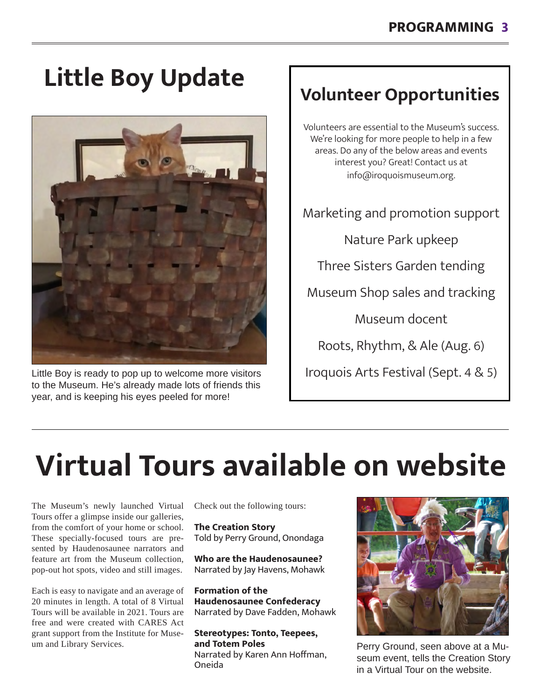# **Volunteer Opportunities Little Boy Update**



Little Boy is ready to pop up to welcome more visitors to the Museum. He's already made lots of friends this year, and is keeping his eyes peeled for more!

Volunteers are essential to the Museum's success. We're looking for more people to help in a few areas. Do any of the below areas and events interest you? Great! Contact us at info@iroquoismuseum.org.

Marketing and promotion support

Nature Park upkeep

Three Sisters Garden tending

Museum Shop sales and tracking

Museum docent

Roots, Rhythm, & Ale (Aug. 6)

Iroquois Arts Festival (Sept. 4 & 5)

# **Virtual Tours available on website**

The Museum's newly launched Virtual Tours offer a glimpse inside our galleries, from the comfort of your home or school. These specially-focused tours are presented by Haudenosaunee narrators and feature art from the Museum collection, pop-out hot spots, video and still images.

Each is easy to navigate and an average of 20 minutes in length. A total of 8 Virtual Tours will be available in 2021. Tours are free and were created with CARES Act grant support from the Institute for Museum and Library Services.

Check out the following tours:

**The Creation Story** Told by Perry Ground, Onondaga

**Who are the Haudenosaunee?** Narrated by Jay Havens, Mohawk

**Formation of the Haudenosaunee Confederacy** Narrated by Dave Fadden, Mohawk

**Stereotypes: Tonto, Teepees, and Totem Poles** Narrated by Karen Ann Hoffman, Oneida



Perry Ground, seen above at a Museum event, tells the Creation Story in a Virtual Tour on the website.